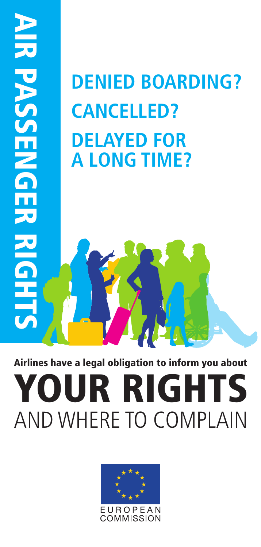# **DENIED BOARDING? CANCELLED? DELAYED FOR A LONG TIME? BENIED BOARDING?**<br>
CANCELLED?<br>
DELAYED FOR<br>
A LONG TIME?<br>
A LONG TIME?<br>
AIR DELAYED FOR<br>
AIR DELAYED FOR<br>
A LONG TIME?<br>
AND WHERE TO COMPLAIN

#### **Airlines have a legal obligation to inform you about**

## **YOUR RIGHTS**<br>AND WHERE TO COMPLAIN

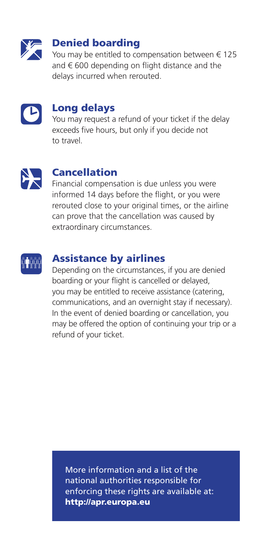

#### **Denied boarding**

You may be entitled to compensation between € 125 and  $\epsilon$  600 depending on flight distance and the delays incurred when rerouted.



#### **Long delays**

You may request a refund of your ticket if the delay exceeds five hours, but only if you decide not to travel.



#### **Cancellation**

Financial compensation is due unless you were informed 14 days before the flight, or you were rerouted close to your original times, or the airline can prove that the cancellation was caused by extraordinary circumstances.



#### **Assistance by airlines**

Depending on the circumstances, if you are denied boarding or your flight is cancelled or delayed, you may be entitled to receive assistance (catering, communications, and an overnight stay if necessary). In the event of denied boarding or cancellation, you may be offered the option of continuing your trip or a refund of your ticket.

More information and a list of the national authorities responsible for enforcing these rights are available at: **http://apr.europa.eu**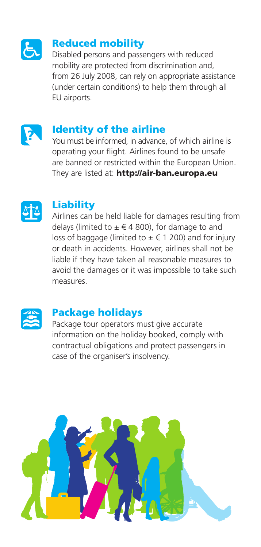

#### **Reduced mobility**

Disabled persons and passengers with reduced mobility are protected from discrimination and, from 26 July 2008, can rely on appropriate assistance (under certain conditions) to help them through all EU airports.



#### **Identity of the airline**

You must be informed, in advance, of which airline is operating your flight. Airlines found to be unsafe are banned or restricted within the European Union. They are listed at: **http://air-ban.europa.eu**



#### **Liability**

Airlines can be held liable for damages resulting from delays (limited to  $\pm \in 4$  800), for damage to and loss of baggage (limited to  $\pm \in 1$  200) and for injury or death in accidents. However, airlines shall not be liable if they have taken all reasonable measures to avoid the damages or it was impossible to take such measures.



#### **Package holidays**

Package tour operators must give accurate information on the holiday booked, comply with contractual obligations and protect passengers in case of the organiser's insolvency.